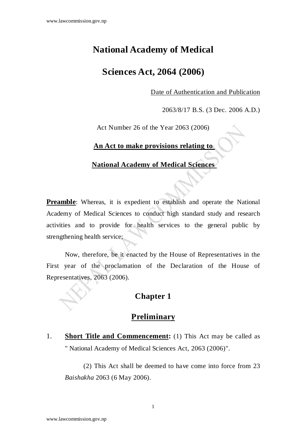## **National Academy of Medical**

## **Sciences Act, 2064 (2006)**

Date of Authentication and Publication

2063/8/17 B.S. (3 Dec. 2006 A.D.)

Act Number 26 of the Year 2063 (2006)

#### **An Act to make provisions relating to**

#### **National Academy of Medical Sciences**

**Preamble**: Whereas, it is expedient to establish and operate the National Academy of Medical Sciences to conduct high standard study and research activities and to provide for health services to the general public by strengthening health service;

Now, therefore, be it enacted by the House of Representatives in the First year of the proclamation of the Declaration of the House of Representatives, 2063 (2006).

#### **Chapter 1**

### **Preliminary**

1. **Short Title and Commencement:** (1) This Act may be called as " National Academy of Medical Sciences Act, 2063 (2006)".

(2) This Act shall be deemed to have come into force from 23 *Baishakha* 2063 (6 May 2006).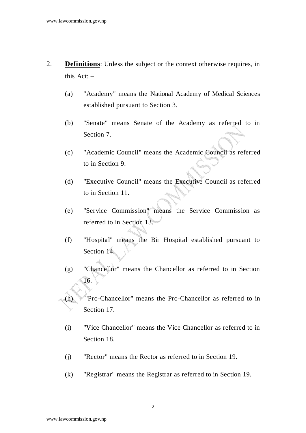- 2. **Definitions**: Unless the subject or the context otherwise requires, in this Act: –
	- (a) "Academy" means the National Academy of Medical Sciences established pursuant to Section 3.
	- (b) "Senate" means Senate of the Academy as referred to in Section 7.
	- (c) "Academic Council" means the Academic Council as referred to in Section 9.
	- (d) "Executive Council" means the Executive Council as referred to in Section 11.
	- (e) "Service Commission" means the Service Commission as referred to in Section 13.
	- (f) "Hospital" means the Bir Hospital established pursuant to Section 14.
	- (g) "Chancellor" means the Chancellor as referred to in Section 16.
	- (h) "Pro-Chancellor" means the Pro-Chancellor as referred to in Section 17.
		- (i) "Vice Chancellor" means the Vice Chancellor as referred to in Section 18.
		- (j) "Rector" means the Rector as referred to in Section 19.
		- (k) "Registrar" means the Registrar as referred to in Section 19.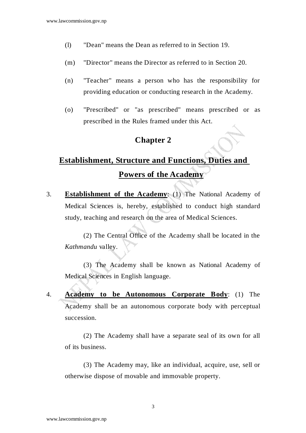- (l) "Dean" means the Dean as referred to in Section 19.
- (m) "Director" means the Director as referred to in Section 20.
- (n) "Teacher" means a person who has the responsibility for providing education or conducting research in the Academy.
- (o) "Prescribed" or "as prescribed" means prescribed or as prescribed in the Rules framed under this Act.

#### **Chapter 2**

# **Establishment, Structure and Functions, Duties and Powers of the Academy**

3. **Establishment of the Academy**: (1) The National Academy of Medical Sciences is, hereby, established to conduct high standard study, teaching and research on the area of Medical Sciences.

 (2) The Central Office of the Academy shall be located in the *Kathmandu* valley.

 (3) The Academy shall be known as National Academy of Medical Sciences in English language.

4. **Academy to be Autonomous Corporate Body**: (1) The Academy shall be an autonomous corporate body with perceptual succession.

 (2) The Academy shall have a separate seal of its own for all of its business.

 (3) The Academy may, like an individual, acquire, use, sell or otherwise dispose of movable and immovable property.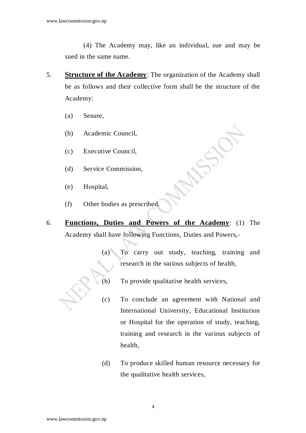(4) The Academy may, like an individual, sue and may be sued in the same name.

- 5. **Structure of the Academy**: The organization of the Academy shall be as follows and their collective form shall be the structure of the Academy:
	- (a) Senate,
	- (b) Academic Council,
	- (c) Executive Council,
	- (d) Service Commission,
	- (e) Hospital,
	- (f) Other bodies as prescribed.
- 6. **Functions, Duties and Powers of the Academy**: (1) The Academy shall have following Functions, Duties and Powers,-
	- (a) To carry out study, teaching, training and research in the various subjects of health,
	- (b) To provide qualitative health services,
	- (c) To conclude an agreement with National and International University, Educational Institution or Hospital for the operation of study, teaching, training and research in the various subjects of health,
	- (d) To produce skilled human resource necessary for the qualitative health services,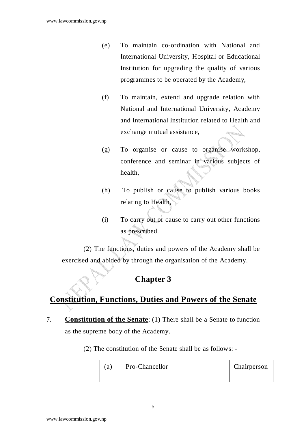- (e) To maintain co-ordination with National and International University, Hospital or Educational Institution for upgrading the quality of various programmes to be operated by the Academy,
- (f) To maintain, extend and upgrade relation with National and International University, Academy and International Institution related to Health and exchange mutual assistance,
- (g) To organise or cause to organise workshop, conference and seminar in various subjects of health,
- (h) To publish or cause to publish various books relating to Health,
- (i) To carry out or cause to carry out other functions as prescribed.

(2) The functions, duties and powers of the Academy shall be exercised and abided by through the organisation of the Academy.

## **Chapter 3**

## **Constitution, Functions, Duties and Powers of the Senate**

- 7. **Constitution of the Senate**: (1) There shall be a Senate to function as the supreme body of the Academy.
	- (2) The constitution of the Senate shall be as follows: -

| (a) | Pro-Chancellor | Chairperson |
|-----|----------------|-------------|
|-----|----------------|-------------|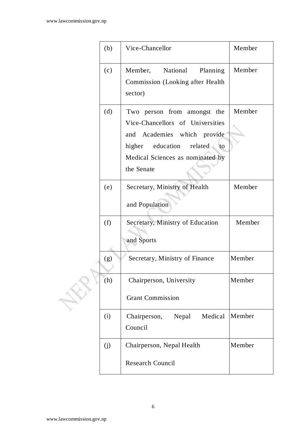| (b) | Vice-Chancellor                                                                                                                                                                 | Member |
|-----|---------------------------------------------------------------------------------------------------------------------------------------------------------------------------------|--------|
| (c) | Member,<br>National<br>Planning<br><b>Commission</b> (Looking after Health<br>sector)                                                                                           | Member |
| (d) | Two person from amongst the<br>Vice-Chancellors of Universities<br>and Academies which provide<br>higher education related to<br>Medical Sciences as nominated by<br>the Senate | Member |
| (e) | Secretary, Ministry of Health<br>and Population                                                                                                                                 | Member |
| (f) | Secretary, Ministry of Education<br>and Sports                                                                                                                                  | Member |
| (g) | Secretary, Ministry of Finance                                                                                                                                                  | Member |
| (h) | Chairperson, University<br><b>Grant Commission</b>                                                                                                                              | Member |
| (i) | Medical<br>Nepal<br>Chairperson,<br>Council                                                                                                                                     | Member |
| (i) | Chairperson, Nepal Health<br><b>Research Council</b>                                                                                                                            | Member |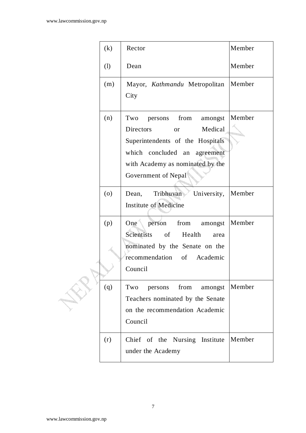| (k) | Rector                                                                                                                                                                                             | Member |
|-----|----------------------------------------------------------------------------------------------------------------------------------------------------------------------------------------------------|--------|
| (1) | Dean                                                                                                                                                                                               | Member |
| (m) | Mayor, Kathmandu Metropolitan   Member<br>City                                                                                                                                                     |        |
| (n) | persons from<br>amongst<br>Two<br>Directors<br>Medical<br><b>or</b><br>Superintendents of the Hospitals<br>which concluded an agreement<br>with Academy as nominated by the<br>Government of Nepal | Member |
| (0) | University,<br>Tribhuvan<br>Dean,<br><b>Institute of Medicine</b>                                                                                                                                  | Member |
| (p) | person<br>One<br>from<br>amongst<br>Scientists<br>of<br>Health<br>area<br>nominated by the Senate on the<br>recommendation of Academic<br>Council                                                  | Member |
| (q) | from<br>Two<br>persons<br>amongst<br>Teachers nominated by the Senate<br>on the recommendation Academic<br>Council                                                                                 | Member |
| (r) | Chief of the Nursing Institute<br>under the Academy                                                                                                                                                | Member |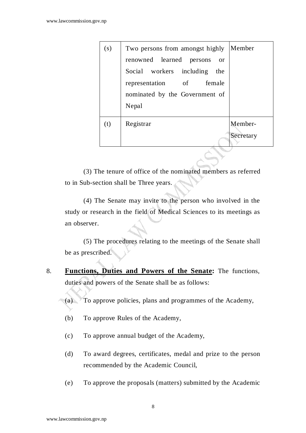| (s) | Two persons from amongst highly          | Member    |
|-----|------------------------------------------|-----------|
|     | renowned learned<br>persons<br><b>or</b> |           |
|     | Social workers including<br>the          |           |
|     | representation of female                 |           |
|     | nominated by the Government of           |           |
|     | Nepal                                    |           |
| (t) | Registrar                                | Member-   |
|     |                                          | Secretary |
|     |                                          |           |

(3) The tenure of office of the nominated members as referred to in Sub-section shall be Three years.

 (4) The Senate may invite to the person who involved in the study or research in the field of Medical Sciences to its meetings as an observer.

 (5) The procedures relating to the meetings of the Senate shall be as prescribed.

- 8. **Functions, Duties and Powers of the Senate:** The functions, duties and powers of the Senate shall be as follows:
	- (a) To approve policies, plans and programmes of the Academy,
	- (b) To approve Rules of the Academy,
	- (c) To approve annual budget of the Academy,
	- (d) To award degrees, certificates, medal and prize to the person recommended by the Academic Council,
	- (e) To approve the proposals (matters) submitted by the Academic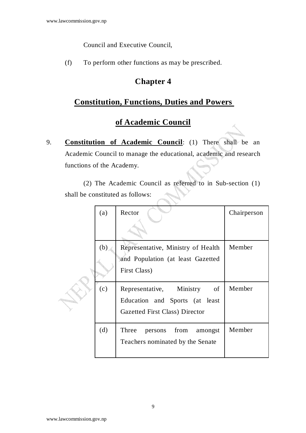Council and Executive Council,

(f) To perform other functions as may be prescribed.

## **Chapter 4**

## **Constitution, Functions, Duties and Powers**

## **of Academic Council**

9. **Constitution of Academic Council**: (1) There shall be an Academic Council to manage the educational, academic and research functions of the Academy.

(2) The Academic Council as referred to in Sub-section (1) shall be constituted as follows:

| (a) | Rector                                                                                                    | Chairperson |
|-----|-----------------------------------------------------------------------------------------------------------|-------------|
| (b) | Representative, Ministry of Health                                                                        | Member      |
|     | and Population (at least Gazetted<br>First Class)                                                         |             |
| (c) | Representative, Ministry<br>of<br>Education and Sports (at least<br><b>Gazetted First Class) Director</b> | Member      |
| (d) | persons from<br>Three<br>amongst<br>Teachers nominated by the Senate                                      | Member      |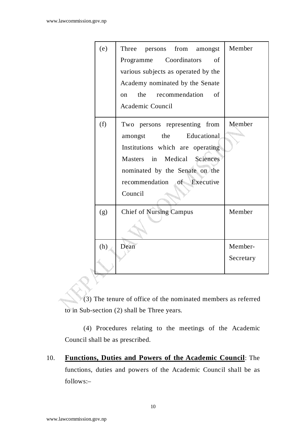| (e) | Three persons from amongst          | Member    |
|-----|-------------------------------------|-----------|
|     | Programme Coordinators<br>of        |           |
|     | various subjects as operated by the |           |
|     | Academy nominated by the Senate     |           |
|     | the<br>recommendation of<br>on      |           |
|     | Academic Council                    |           |
| (f) | Two persons representing from       | Member    |
|     | the Educational<br>amongst          |           |
|     | Institutions which are operating    |           |
|     | Masters in Medical Sciences         |           |
|     | nominated by the Senate on the      |           |
|     | recommendation of Executive         |           |
|     | Council                             |           |
| (g) | <b>Chief of Nursing Campus</b>      | Member    |
|     |                                     |           |
| (h) | Dean                                | Member-   |
|     |                                     | Secretary |
|     |                                     |           |

(3) The tenure of office of the nominated members as referred to in Sub-section (2) shall be Three years.

 (4) Procedures relating to the meetings of the Academic Council shall be as prescribed.

10. **Functions, Duties and Powers of the Academic Council**: The functions, duties and powers of the Academic Council shall be as follows:–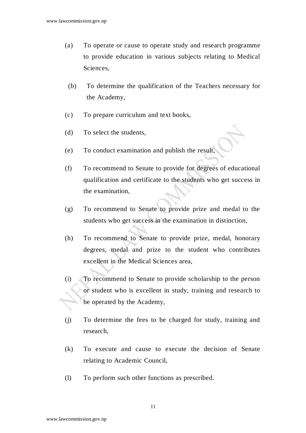- (a) To operate or cause to operate study and research programme to provide education in various subjects relating to Medical Sciences,
- (b) To determine the qualification of the Teachers necessary for the Academy,
- (c) To prepare curriculum and text books,
- (d) To select the students,
- (e) To conduct examination and publish the result,
- (f) To recommend to Senate to provide for degrees of educational qualification and certificate to the students who get success in the examination,
- (g) To recommend to Senate to provide prize and medal to the students who get success in the examination in distinction,
- (h) To recommend to Senate to provide prize, medal, honorary degrees, medal and prize to the student who contributes excellent in the Medical Sciences area,
- (i) To recommend to Senate to provide scholarship to the person or student who is excellent in study, training and research to be operated by the Academy,
- (j) To determine the fees to be charged for study, training and research,
- (k) To execute and cause to execute the decision of Senate relating to Academic Council,
- (l) To perform such other functions as prescribed.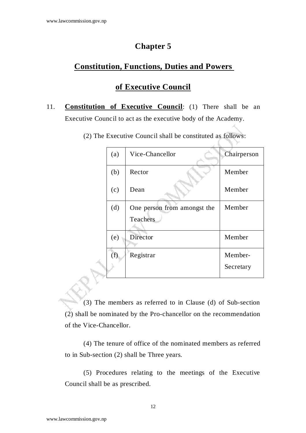#### **Chapter 5**

#### **Constitution, Functions, Duties and Powers**

#### **of Executive Council**

- 11. **Constitution of Executive Council**: (1) There shall be an Executive Council to act as the executive body of the Academy.
	- (2) The Executive Council shall be constituted as follows:

| (a) | Vice-Chancellor             | Chairperson |
|-----|-----------------------------|-------------|
| (b) | Rector                      | Member      |
| (c) | Dean                        | Member      |
| (d) | One person from amongst the | Member      |
|     | Teachers                    |             |
| (e) | Director                    | Member      |
| (f) | Registrar                   | Member-     |
|     |                             | Secretary   |

 (3) The members as referred to in Clause (d) of Sub-section (2) shall be nominated by the Pro-chancellor on the recommendation of the Vice-Chancellor.

 (4) The tenure of office of the nominated members as referred to in Sub-section (2) shall be Three years.

 (5) Procedures relating to the meetings of the Executive Council shall be as prescribed.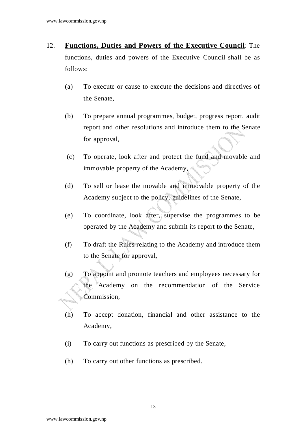- 12. **Functions, Duties and Powers of the Executive Council**: The functions, duties and powers of the Executive Council shall be as follows:
	- (a) To execute or cause to execute the decisions and directives of the Senate,
	- (b) To prepare annual programmes, budget, progress report, audit report and other resolutions and introduce them to the Senate for approval,
	- (c) To operate, look after and protect the fund and movable and immovable property of the Academy,
	- (d) To sell or lease the movable and immovable property of the Academy subject to the policy, guidelines of the Senate,
	- (e) To coordinate, look after, supervise the programmes to be operated by the Academy and submit its report to the Senate,
	- (f) To draft the Rules relating to the Academy and introduce them to the Senate for approval,
	- (g) To appoint and promote teachers and employees necessary for the Academy on the recommendation of the Service Commission,
	- (h) To accept donation, financial and other assistance to the Academy,
	- (i) To carry out functions as prescribed by the Senate,
	- (h) To carry out other functions as prescribed.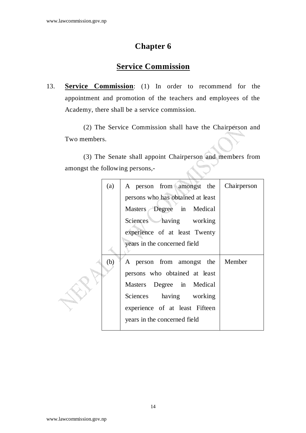## **Chapter 6**

## **Service Commission**

13. **Service Commission**: (1) In order to recommend for the appointment and promotion of the teachers and employees of the Academy, there shall be a service commission.

 (2) The Service Commission shall have the Chairperson and Two members.

 (3) The Senate shall appoint Chairperson and members from amongst the following persons,-

| (a) | A person from amongst the<br>Chairperson |
|-----|------------------------------------------|
|     | persons who has obtained at least        |
|     | Masters Degree in Medical                |
|     | Sciences having working                  |
|     | experience of at least Twenty            |
|     | years in the concerned field             |
| (b) | Member<br>A person from amongst the      |
|     | persons who obtained at least            |
|     | Masters Degree in Medical                |
|     | Sciences having working                  |
|     | experience of at least Fifteen           |
|     | years in the concerned field             |
|     |                                          |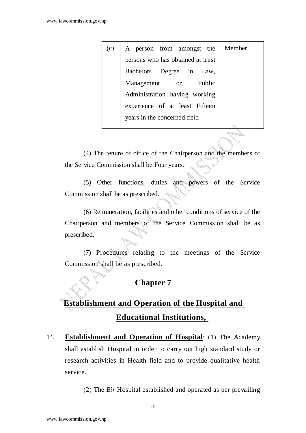| (c) | A person from amongst the         | Member |
|-----|-----------------------------------|--------|
|     | persons who has obtained at least |        |
|     | Bachelors Degree in Law,          |        |
|     | Public<br>Management<br>or        |        |
|     | Administration having working     |        |
|     | experience of at least Fifteen    |        |
|     | years in the concerned field      |        |
|     |                                   |        |

 (4) The tenure of office of the Chairperson and the members of the Service Commission shall be Four years.

 (5) Other functions, duties and powers of the Service Commission shall be as prescribed.

 (6) Remuneration, facilities and other conditions of service of the Chairperson and members of the Service Commission shall be as prescribed.

(7) Procedures relating to the meetings of the Service Commission shall be as prescribed.

### **Chapter 7**

# **Establishment and Operation of the Hospital and Educational Institutions,**

14. **Establishment and Operation of Hospital**: (1) The Academy shall establish Hospital in order to carry out high standard study or research activities in Health field and to provide qualitative health service.

(2) The *Bir* Hospital established and operated as per prevailing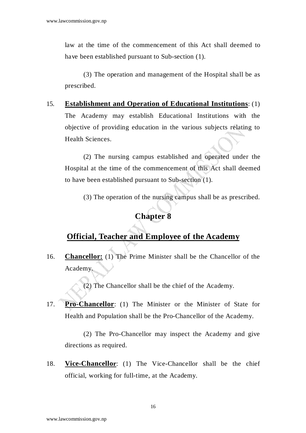law at the time of the commencement of this Act shall deemed to have been established pursuant to Sub-section (1).

 (3) The operation and management of the Hospital shall be as prescribed.

15. **Establishment and Operation of Educational Institutions**: (1) The Academy may establish Educational Institutions with the objective of providing education in the various subjects relating to Health Sciences.

 (2) The nursing campus established and operated under the Hospital at the time of the commencement of this Act shall deemed to have been established pursuant to Sub-section (1).

(3) The operation of the nursing campus shall be as prescribed.

#### **Chapter 8**

#### **Official, Teacher and Employee of the Academy**

16. **Chancellor:** (1) The Prime Minister shall be the Chancellor of the Academy.

(2) The Chancellor shall be the chief of the Academy.

17. **Pro-Chancellor**: (1) The Minister or the Minister of State for Health and Population shall be the Pro-Chancellor of the Academy.

 (2) The Pro-Chancellor may inspect the Academy and give directions as required.

18. **Vice-Chancellor**: (1) The Vice-Chancellor shall be the chief official, working for full-time, at the Academy.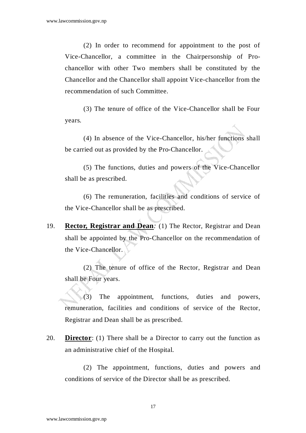(2) In order to recommend for appointment to the post of Vice-Chancellor, a committee in the Chairpersonship of Prochancellor with other Two members shall be constituted by the Chancellor and the Chancellor shall appoint Vice-chancellor from the recommendation of such Committee.

 (3) The tenure of office of the Vice-Chancellor shall be Four years.

 (4) In absence of the Vice-Chancellor, his/her functions shall be carried out as provided by the Pro-Chancellor.

 (5) The functions, duties and powers of the Vice-Chancellor shall be as prescribed.

 (6) The remuneration, facilities and conditions of service of the Vice-Chancellor shall be as prescribed.

19. **Rector, Registrar and Dean***:* (1) The Rector, Registrar and Dean shall be appointed by the Pro-Chancellor on the recommendation of the Vice-Chancellor.

 (2) The tenure of office of the Rector, Registrar and Dean shall be Four years.

(3) The appointment, functions, duties and powers, remuneration, facilities and conditions of service of the Rector, Registrar and Dean shall be as prescribed.

20. **Director**: (1) There shall be a Director to carry out the function as an administrative chief of the Hospital.

(2) The appointment, functions, duties and powers and conditions of service of the Director shall be as prescribed.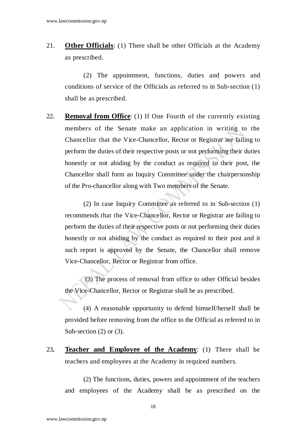21. **Other Officials**: (1) There shall be other Officials at the Academy as prescribed.

(2) The appointment, functions, duties and powers and conditions of service of the Officials as referred to in Sub-section (1) shall be as prescribed.

22. **Removal from Office**: (1) If One Fourth of the currently existing members of the Senate make an application in writing to the Chancellor that the Vice-Chancellor, Rector or Registrar are failing to perform the duties of their respective posts or not performing their duties honestly or not abiding by the conduct as required to their post, the Chancellor shall form an Inquiry Committee under the chairpersonship of the Pro-chancellor along with Two members of the Senate.

 (2) In case Inquiry Committee as referred to in Sub-section (1) recommends that the Vice-Chancellor, Rector or Registrar are failing to perform the duties of their respective posts or not performing their duties honestly or not abiding by the conduct as required to their post and it such report is approved by the Senate, the Chancellor shall remove Vice-Chancellor, Rector or Registrar from office.

 (3) The process of removal from office to other Official besides the Vice-Chancellor, Rector or Registrar shall be as prescribed.

(4) A reasonable opportunity to defend himself/herself shall be provided before removing from the office to the Official as referred to in Sub-section (2) or (3).

23**. Teacher and Employee of the Academy**: (1) There shall be teachers and employees at the Academy in required numbers.

 (2) The functions, duties, powers and appointment of the teachers and employees of the Academy shall be as prescribed on the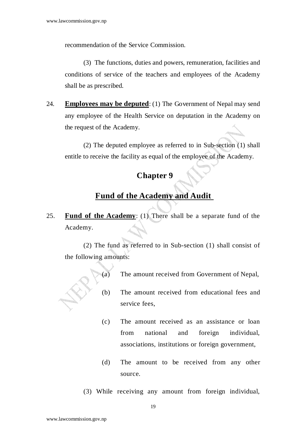recommendation of the Service Commission.

(3) The functions, duties and powers, remuneration, facilities and conditions of service of the teachers and employees of the Academy shall be as prescribed.

24. **Employees may be deputed**: (1) The Government of Nepal may send any employee of the Health Service on deputation in the Academy on the request of the Academy.

 (2) The deputed employee as referred to in Sub-section (1) shall entitle to receive the facility as equal of the employee of the Academy.

# **Chapter 9**

### **Fund of the Academy and Audit**

25. **Fund of the Academy**: (1) There shall be a separate fund of the Academy.

(2) The fund as referred to in Sub-section (1) shall consist of the following amounts:

- (a) The amount received from Government of Nepal,
- (b) The amount received from educational fees and service fees,
- (c) The amount received as an assistance or loan from national and foreign individual, associations, institutions or foreign government,
- (d) The amount to be received from any other source.
- (3) While receiving any amount from foreign individual,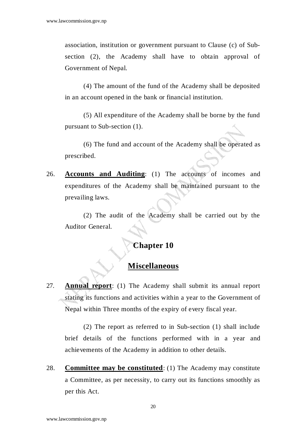association, institution or government pursuant to Clause (c) of Subsection (2), the Academy shall have to obtain approval of Government of Nepal.

 (4) The amount of the fund of the Academy shall be deposited in an account opened in the bank or financial institution.

 (5) All expenditure of the Academy shall be borne by the fund pursuant to Sub-section (1).

 (6) The fund and account of the Academy shall be operated as prescribed.

26. **Accounts and Auditing**: (1) The accounts of incomes and expenditures of the Academy shall be maintained pursuant to the prevailing laws.

 (2) The audit of the Academy shall be carried out by the Auditor General.

#### **Chapter 10**

#### **Miscellaneous**

27. **Annual report**: (1) The Academy shall submit its annual report stating its functions and activities within a year to the Government of Nepal within Three months of the expiry of every fiscal year.

 (2) The report as referred to in Sub-section (1) shall include brief details of the functions performed with in a year and achievements of the Academy in addition to other details.

28. **Committee may be constituted**: (1) The Academy may constitute a Committee, as per necessity, to carry out its functions smoothly as per this Act.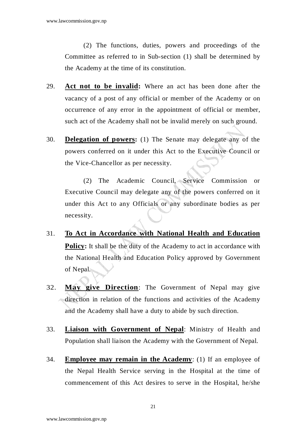(2) The functions, duties, powers and proceedings of the Committee as referred to in Sub-section (1) shall be determined by the Academy at the time of its constitution.

- 29. **Act not to be invalid:** Where an act has been done after the vacancy of a post of any official or member of the Academy or on occurrence of any error in the appointment of official or member, such act of the Academy shall not be invalid merely on such ground.
- 30. **Delegation of powers:** (1) The Senate may delegate any of the powers conferred on it under this Act to the Executive Council or the Vice-Chancellor as per necessity.

 (2) The Academic Council, Service Commission or Executive Council may delegate any of the powers conferred on it under this Act to any Officials or any subordinate bodies as per necessity.

- 31. **To Act in Accordance with National Health and Education Policy:** It shall be the duty of the Academy to act in accordance with the National Health and Education Policy approved by Government of Nepal.
- 32. **May give Direction**: The Government of Nepal may give direction in relation of the functions and activities of the Academy and the Academy shall have a duty to abide by such direction.
- 33. **Liaison with Government of Nepal**: Ministry of Health and Population shall liaison the Academy with the Government of Nepal.
- 34. **Employee may remain in the Academy**: (1) If an employee of the Nepal Health Service serving in the Hospital at the time of commencement of this Act desires to serve in the Hospital, he/she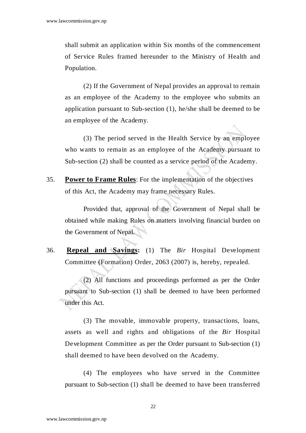shall submit an application within Six months of the commencement of Service Rules framed hereunder to the Ministry of Health and Population.

 (2) If the Government of Nepal provides an approval to remain as an employee of the Academy to the employee who submits an application pursuant to Sub-section (1), he/she shall be deemed to be an employee of the Academy.

 (3) The period served in the Health Service by an employee who wants to remain as an employee of the Academy pursuant to Sub-section (2) shall be counted as a service period of the Academy.

35. **Power to Frame Rules**: For the implementation of the objectives of this Act, the Academy may frame necessary Rules.

 Provided that, approval of the Government of Nepal shall be obtained while making Rules on matters involving financial burden on the Government of Nepal.

36. **Repeal and Savings:** (1) The *Bir* Hospital Development Committee (Formation) Order, 2063 (2007) is, hereby, repealed.

(2) All functions and proceedings performed as per the Order pursuant to Sub-section (1) shall be deemed to have been performed under this Act.

(3) The movable, immovable property, transactions, loans, assets as well and rights and obligations of the *Bir* Hospital Development Committee as per the Order pursuant to Sub-section (1) shall deemed to have been devolved on the Academy.

(4) The employees who have served in the Committee pursuant to Sub-section (1) shall be deemed to have been transferred